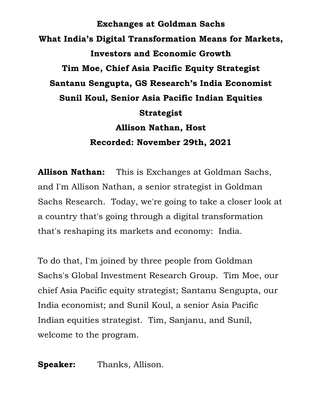**Exchanges at Goldman Sachs What India's Digital Transformation Means for Markets, Investors and Economic Growth Tim Moe, Chief Asia Pacific Equity Strategist Santanu Sengupta, GS Research's India Economist Sunil Koul, Senior Asia Pacific Indian Equities Strategist Allison Nathan, Host Recorded: November 29th, 2021**

**Allison Nathan:** This is Exchanges at Goldman Sachs, and I'm Allison Nathan, a senior strategist in Goldman Sachs Research. Today, we're going to take a closer look at a country that's going through a digital transformation that's reshaping its markets and economy: India.

To do that, I'm joined by three people from Goldman Sachs's Global Investment Research Group. Tim Moe, our chief Asia Pacific equity strategist; Santanu Sengupta, our India economist; and Sunil Koul, a senior Asia Pacific Indian equities strategist. Tim, Sanjanu, and Sunil, welcome to the program.

**Speaker:** Thanks, Allison.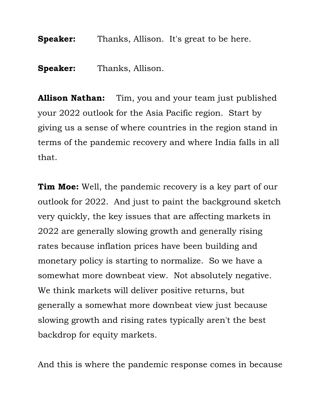**Speaker:** Thanks, Allison. It's great to be here.

**Speaker:** Thanks, Allison.

**Allison Nathan:** Tim, you and your team just published your 2022 outlook for the Asia Pacific region. Start by giving us a sense of where countries in the region stand in terms of the pandemic recovery and where India falls in all that.

**Tim Moe:** Well, the pandemic recovery is a key part of our outlook for 2022. And just to paint the background sketch very quickly, the key issues that are affecting markets in 2022 are generally slowing growth and generally rising rates because inflation prices have been building and monetary policy is starting to normalize. So we have a somewhat more downbeat view. Not absolutely negative. We think markets will deliver positive returns, but generally a somewhat more downbeat view just because slowing growth and rising rates typically aren't the best backdrop for equity markets.

And this is where the pandemic response comes in because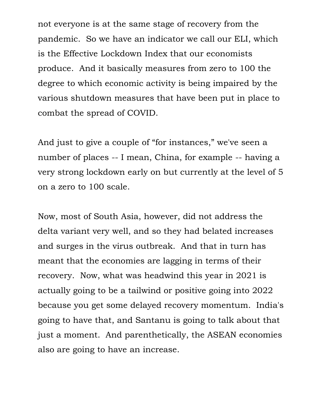not everyone is at the same stage of recovery from the pandemic. So we have an indicator we call our ELI, which is the Effective Lockdown Index that our economists produce. And it basically measures from zero to 100 the degree to which economic activity is being impaired by the various shutdown measures that have been put in place to combat the spread of COVID.

And just to give a couple of "for instances," we've seen a number of places -- I mean, China, for example -- having a very strong lockdown early on but currently at the level of 5 on a zero to 100 scale.

Now, most of South Asia, however, did not address the delta variant very well, and so they had belated increases and surges in the virus outbreak. And that in turn has meant that the economies are lagging in terms of their recovery. Now, what was headwind this year in 2021 is actually going to be a tailwind or positive going into 2022 because you get some delayed recovery momentum. India's going to have that, and Santanu is going to talk about that just a moment. And parenthetically, the ASEAN economies also are going to have an increase.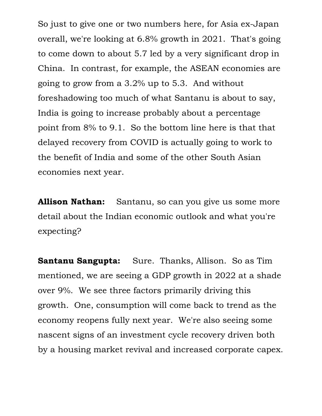So just to give one or two numbers here, for Asia ex-Japan overall, we're looking at 6.8% growth in 2021. That's going to come down to about 5.7 led by a very significant drop in China. In contrast, for example, the ASEAN economies are going to grow from a 3.2% up to 5.3. And without foreshadowing too much of what Santanu is about to say, India is going to increase probably about a percentage point from 8% to 9.1. So the bottom line here is that that delayed recovery from COVID is actually going to work to the benefit of India and some of the other South Asian economies next year.

**Allison Nathan:** Santanu, so can you give us some more detail about the Indian economic outlook and what you're expecting?

**Santanu Sangupta:** Sure. Thanks, Allison. So as Tim mentioned, we are seeing a GDP growth in 2022 at a shade over 9%. We see three factors primarily driving this growth. One, consumption will come back to trend as the economy reopens fully next year. We're also seeing some nascent signs of an investment cycle recovery driven both by a housing market revival and increased corporate capex.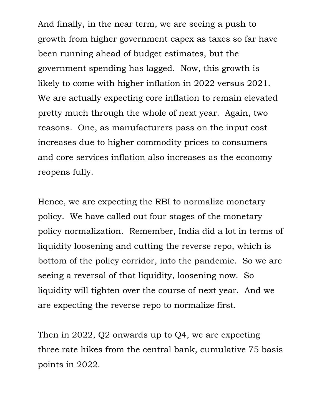And finally, in the near term, we are seeing a push to growth from higher government capex as taxes so far have been running ahead of budget estimates, but the government spending has lagged. Now, this growth is likely to come with higher inflation in 2022 versus 2021. We are actually expecting core inflation to remain elevated pretty much through the whole of next year. Again, two reasons. One, as manufacturers pass on the input cost increases due to higher commodity prices to consumers and core services inflation also increases as the economy reopens fully.

Hence, we are expecting the RBI to normalize monetary policy. We have called out four stages of the monetary policy normalization. Remember, India did a lot in terms of liquidity loosening and cutting the reverse repo, which is bottom of the policy corridor, into the pandemic. So we are seeing a reversal of that liquidity, loosening now. So liquidity will tighten over the course of next year. And we are expecting the reverse repo to normalize first.

Then in 2022, Q2 onwards up to Q4, we are expecting three rate hikes from the central bank, cumulative 75 basis points in 2022.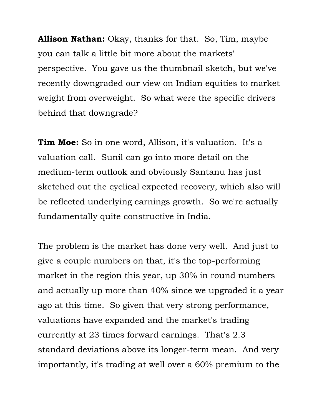**Allison Nathan:** Okay, thanks for that. So, Tim, maybe you can talk a little bit more about the markets' perspective. You gave us the thumbnail sketch, but we've recently downgraded our view on Indian equities to market weight from overweight. So what were the specific drivers behind that downgrade?

**Tim Moe:** So in one word, Allison, it's valuation. It's a valuation call. Sunil can go into more detail on the medium-term outlook and obviously Santanu has just sketched out the cyclical expected recovery, which also will be reflected underlying earnings growth. So we're actually fundamentally quite constructive in India.

The problem is the market has done very well. And just to give a couple numbers on that, it's the top-performing market in the region this year, up 30% in round numbers and actually up more than 40% since we upgraded it a year ago at this time. So given that very strong performance, valuations have expanded and the market's trading currently at 23 times forward earnings. That's 2.3 standard deviations above its longer-term mean. And very importantly, it's trading at well over a 60% premium to the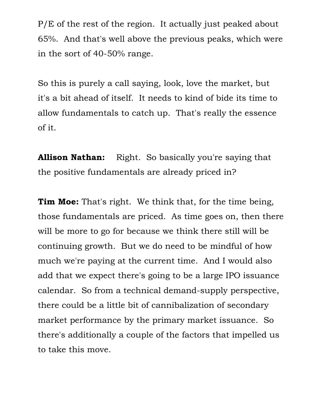P/E of the rest of the region. It actually just peaked about 65%. And that's well above the previous peaks, which were in the sort of 40-50% range.

So this is purely a call saying, look, love the market, but it's a bit ahead of itself. It needs to kind of bide its time to allow fundamentals to catch up. That's really the essence of it.

**Allison Nathan:** Right. So basically you're saying that the positive fundamentals are already priced in?

**Tim Moe:** That's right. We think that, for the time being, those fundamentals are priced. As time goes on, then there will be more to go for because we think there still will be continuing growth. But we do need to be mindful of how much we're paying at the current time. And I would also add that we expect there's going to be a large IPO issuance calendar. So from a technical demand-supply perspective, there could be a little bit of cannibalization of secondary market performance by the primary market issuance. So there's additionally a couple of the factors that impelled us to take this move.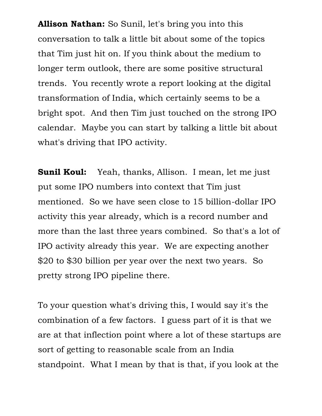**Allison Nathan:** So Sunil, let's bring you into this conversation to talk a little bit about some of the topics that Tim just hit on. If you think about the medium to longer term outlook, there are some positive structural trends. You recently wrote a report looking at the digital transformation of India, which certainly seems to be a bright spot. And then Tim just touched on the strong IPO calendar. Maybe you can start by talking a little bit about what's driving that IPO activity.

**Sunil Koul:** Yeah, thanks, Allison. I mean, let me just put some IPO numbers into context that Tim just mentioned. So we have seen close to 15 billion-dollar IPO activity this year already, which is a record number and more than the last three years combined. So that's a lot of IPO activity already this year. We are expecting another \$20 to \$30 billion per year over the next two years. So pretty strong IPO pipeline there.

To your question what's driving this, I would say it's the combination of a few factors. I guess part of it is that we are at that inflection point where a lot of these startups are sort of getting to reasonable scale from an India standpoint. What I mean by that is that, if you look at the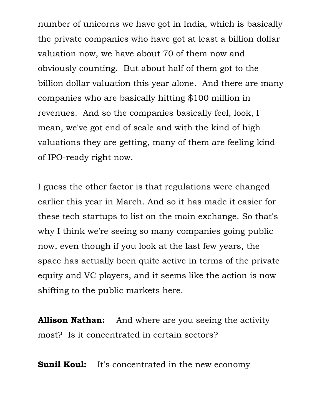number of unicorns we have got in India, which is basically the private companies who have got at least a billion dollar valuation now, we have about 70 of them now and obviously counting. But about half of them got to the billion dollar valuation this year alone. And there are many companies who are basically hitting \$100 million in revenues. And so the companies basically feel, look, I mean, we've got end of scale and with the kind of high valuations they are getting, many of them are feeling kind of IPO-ready right now.

I guess the other factor is that regulations were changed earlier this year in March. And so it has made it easier for these tech startups to list on the main exchange. So that's why I think we're seeing so many companies going public now, even though if you look at the last few years, the space has actually been quite active in terms of the private equity and VC players, and it seems like the action is now shifting to the public markets here.

**Allison Nathan:** And where are you seeing the activity most? Is it concentrated in certain sectors?

**Sunil Koul:** It's concentrated in the new economy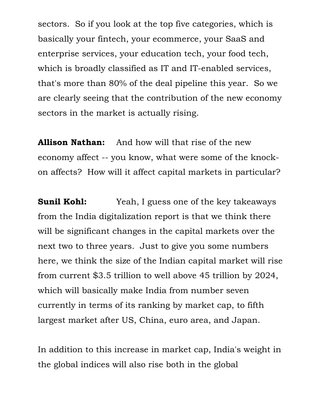sectors. So if you look at the top five categories, which is basically your fintech, your ecommerce, your SaaS and enterprise services, your education tech, your food tech, which is broadly classified as IT and IT-enabled services, that's more than 80% of the deal pipeline this year. So we are clearly seeing that the contribution of the new economy sectors in the market is actually rising.

**Allison Nathan:** And how will that rise of the new economy affect -- you know, what were some of the knockon affects? How will it affect capital markets in particular?

**Sunil Kohl:** Yeah, I guess one of the key takeaways from the India digitalization report is that we think there will be significant changes in the capital markets over the next two to three years. Just to give you some numbers here, we think the size of the Indian capital market will rise from current \$3.5 trillion to well above 45 trillion by 2024, which will basically make India from number seven currently in terms of its ranking by market cap, to fifth largest market after US, China, euro area, and Japan.

In addition to this increase in market cap, India's weight in the global indices will also rise both in the global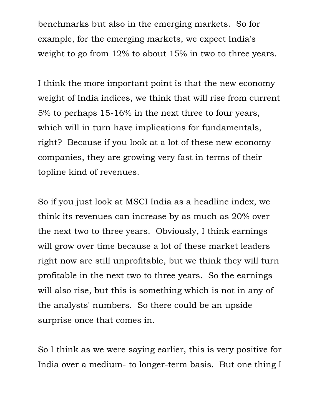benchmarks but also in the emerging markets. So for example, for the emerging markets, we expect India's weight to go from 12% to about 15% in two to three years.

I think the more important point is that the new economy weight of India indices, we think that will rise from current 5% to perhaps 15-16% in the next three to four years, which will in turn have implications for fundamentals, right? Because if you look at a lot of these new economy companies, they are growing very fast in terms of their topline kind of revenues.

So if you just look at MSCI India as a headline index, we think its revenues can increase by as much as 20% over the next two to three years. Obviously, I think earnings will grow over time because a lot of these market leaders right now are still unprofitable, but we think they will turn profitable in the next two to three years. So the earnings will also rise, but this is something which is not in any of the analysts' numbers. So there could be an upside surprise once that comes in.

So I think as we were saying earlier, this is very positive for India over a medium- to longer-term basis. But one thing I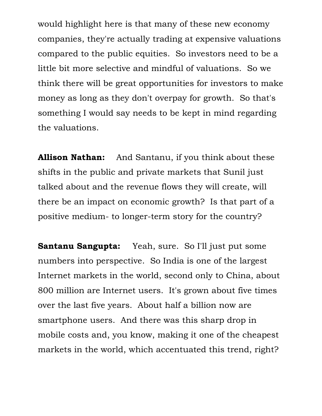would highlight here is that many of these new economy companies, they're actually trading at expensive valuations compared to the public equities. So investors need to be a little bit more selective and mindful of valuations. So we think there will be great opportunities for investors to make money as long as they don't overpay for growth. So that's something I would say needs to be kept in mind regarding the valuations.

**Allison Nathan:** And Santanu, if you think about these shifts in the public and private markets that Sunil just talked about and the revenue flows they will create, will there be an impact on economic growth? Is that part of a positive medium- to longer-term story for the country?

**Santanu Sangupta:** Yeah, sure. So I'll just put some numbers into perspective. So India is one of the largest Internet markets in the world, second only to China, about 800 million are Internet users. It's grown about five times over the last five years. About half a billion now are smartphone users. And there was this sharp drop in mobile costs and, you know, making it one of the cheapest markets in the world, which accentuated this trend, right?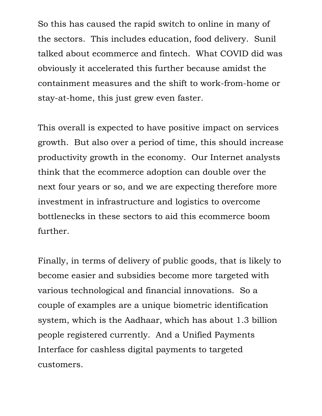So this has caused the rapid switch to online in many of the sectors. This includes education, food delivery. Sunil talked about ecommerce and fintech. What COVID did was obviously it accelerated this further because amidst the containment measures and the shift to work-from-home or stay-at-home, this just grew even faster.

This overall is expected to have positive impact on services growth. But also over a period of time, this should increase productivity growth in the economy. Our Internet analysts think that the ecommerce adoption can double over the next four years or so, and we are expecting therefore more investment in infrastructure and logistics to overcome bottlenecks in these sectors to aid this ecommerce boom further.

Finally, in terms of delivery of public goods, that is likely to become easier and subsidies become more targeted with various technological and financial innovations. So a couple of examples are a unique biometric identification system, which is the Aadhaar, which has about 1.3 billion people registered currently. And a Unified Payments Interface for cashless digital payments to targeted customers.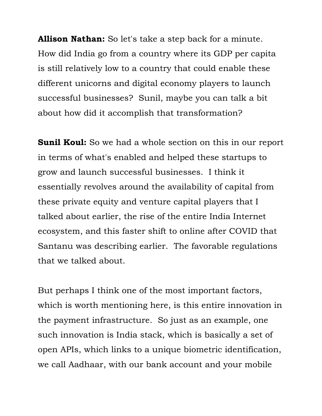**Allison Nathan:** So let's take a step back for a minute. How did India go from a country where its GDP per capita is still relatively low to a country that could enable these different unicorns and digital economy players to launch successful businesses? Sunil, maybe you can talk a bit about how did it accomplish that transformation?

**Sunil Koul:** So we had a whole section on this in our report in terms of what's enabled and helped these startups to grow and launch successful businesses. I think it essentially revolves around the availability of capital from these private equity and venture capital players that I talked about earlier, the rise of the entire India Internet ecosystem, and this faster shift to online after COVID that Santanu was describing earlier. The favorable regulations that we talked about.

But perhaps I think one of the most important factors, which is worth mentioning here, is this entire innovation in the payment infrastructure. So just as an example, one such innovation is India stack, which is basically a set of open APIs, which links to a unique biometric identification, we call Aadhaar, with our bank account and your mobile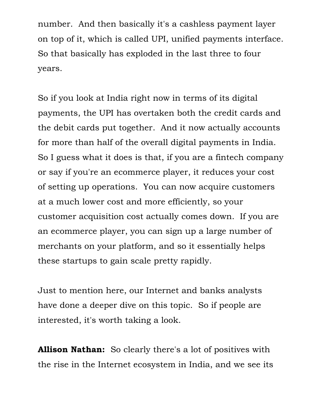number. And then basically it's a cashless payment layer on top of it, which is called UPI, unified payments interface. So that basically has exploded in the last three to four years.

So if you look at India right now in terms of its digital payments, the UPI has overtaken both the credit cards and the debit cards put together. And it now actually accounts for more than half of the overall digital payments in India. So I guess what it does is that, if you are a fintech company or say if you're an ecommerce player, it reduces your cost of setting up operations. You can now acquire customers at a much lower cost and more efficiently, so your customer acquisition cost actually comes down. If you are an ecommerce player, you can sign up a large number of merchants on your platform, and so it essentially helps these startups to gain scale pretty rapidly.

Just to mention here, our Internet and banks analysts have done a deeper dive on this topic. So if people are interested, it's worth taking a look.

**Allison Nathan:** So clearly there's a lot of positives with the rise in the Internet ecosystem in India, and we see its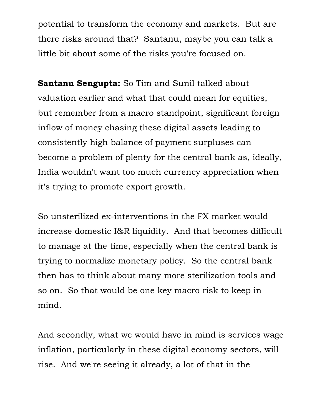potential to transform the economy and markets. But are there risks around that? Santanu, maybe you can talk a little bit about some of the risks you're focused on.

**Santanu Sengupta:** So Tim and Sunil talked about valuation earlier and what that could mean for equities, but remember from a macro standpoint, significant foreign inflow of money chasing these digital assets leading to consistently high balance of payment surpluses can become a problem of plenty for the central bank as, ideally, India wouldn't want too much currency appreciation when it's trying to promote export growth.

So unsterilized ex-interventions in the FX market would increase domestic I&R liquidity. And that becomes difficult to manage at the time, especially when the central bank is trying to normalize monetary policy. So the central bank then has to think about many more sterilization tools and so on. So that would be one key macro risk to keep in mind.

And secondly, what we would have in mind is services wage inflation, particularly in these digital economy sectors, will rise. And we're seeing it already, a lot of that in the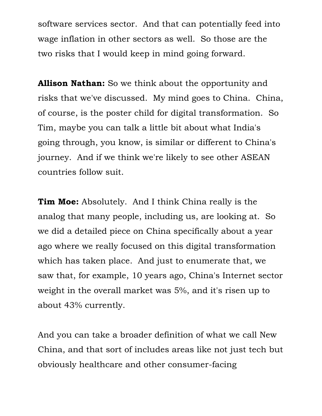software services sector. And that can potentially feed into wage inflation in other sectors as well. So those are the two risks that I would keep in mind going forward.

**Allison Nathan:** So we think about the opportunity and risks that we've discussed. My mind goes to China. China, of course, is the poster child for digital transformation. So Tim, maybe you can talk a little bit about what India's going through, you know, is similar or different to China's journey. And if we think we're likely to see other ASEAN countries follow suit.

**Tim Moe:** Absolutely. And I think China really is the analog that many people, including us, are looking at. So we did a detailed piece on China specifically about a year ago where we really focused on this digital transformation which has taken place. And just to enumerate that, we saw that, for example, 10 years ago, China's Internet sector weight in the overall market was 5%, and it's risen up to about 43% currently.

And you can take a broader definition of what we call New China, and that sort of includes areas like not just tech but obviously healthcare and other consumer-facing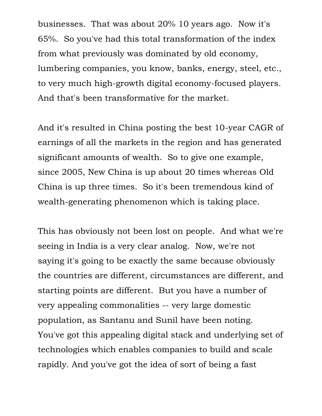businesses. That was about 20% 10 years ago. Now it's 65%. So you've had this total transformation of the index from what previously was dominated by old economy, lumbering companies, you know, banks, energy, steel, etc., to very much high-growth digital economy-focused players. And that's been transformative for the market.

And it's resulted in China posting the best 10-year CAGR of earnings of all the markets in the region and has generated significant amounts of wealth. So to give one example, since 2005, New China is up about 20 times whereas Old China is up three times. So it's been tremendous kind of wealth-generating phenomenon which is taking place.

This has obviously not been lost on people. And what we're seeing in India is a very clear analog. Now, we're not saying it's going to be exactly the same because obviously the countries are different, circumstances are different, and starting points are different. But you have a number of very appealing commonalities -- very large domestic population, as Santanu and Sunil have been noting. You've got this appealing digital stack and underlying set of technologies which enables companies to build and scale rapidly. And you've got the idea of sort of being a fast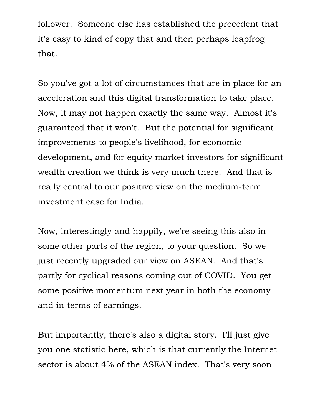follower. Someone else has established the precedent that it's easy to kind of copy that and then perhaps leapfrog that.

So you've got a lot of circumstances that are in place for an acceleration and this digital transformation to take place. Now, it may not happen exactly the same way. Almost it's guaranteed that it won't. But the potential for significant improvements to people's livelihood, for economic development, and for equity market investors for significant wealth creation we think is very much there. And that is really central to our positive view on the medium-term investment case for India.

Now, interestingly and happily, we're seeing this also in some other parts of the region, to your question. So we just recently upgraded our view on ASEAN. And that's partly for cyclical reasons coming out of COVID. You get some positive momentum next year in both the economy and in terms of earnings.

But importantly, there's also a digital story. I'll just give you one statistic here, which is that currently the Internet sector is about 4% of the ASEAN index. That's very soon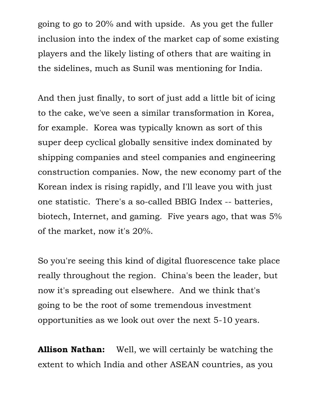going to go to 20% and with upside. As you get the fuller inclusion into the index of the market cap of some existing players and the likely listing of others that are waiting in the sidelines, much as Sunil was mentioning for India.

And then just finally, to sort of just add a little bit of icing to the cake, we've seen a similar transformation in Korea, for example. Korea was typically known as sort of this super deep cyclical globally sensitive index dominated by shipping companies and steel companies and engineering construction companies. Now, the new economy part of the Korean index is rising rapidly, and I'll leave you with just one statistic. There's a so-called BBIG Index -- batteries, biotech, Internet, and gaming. Five years ago, that was 5% of the market, now it's 20%.

So you're seeing this kind of digital fluorescence take place really throughout the region. China's been the leader, but now it's spreading out elsewhere. And we think that's going to be the root of some tremendous investment opportunities as we look out over the next 5-10 years.

**Allison Nathan:** Well, we will certainly be watching the extent to which India and other ASEAN countries, as you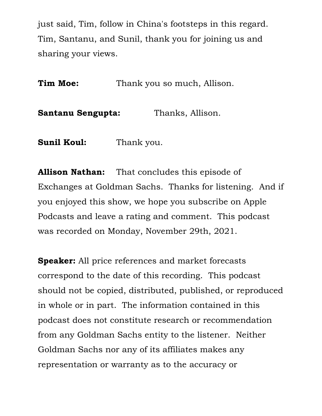just said, Tim, follow in China's footsteps in this regard. Tim, Santanu, and Sunil, thank you for joining us and sharing your views.

**Tim Moe:** Thank you so much, Allison.

**Santanu Sengupta:** Thanks, Allison.

**Sunil Koul:** Thank you.

**Allison Nathan:** That concludes this episode of Exchanges at Goldman Sachs. Thanks for listening. And if you enjoyed this show, we hope you subscribe on Apple Podcasts and leave a rating and comment. This podcast was recorded on Monday, November 29th, 2021.

**Speaker:** All price references and market forecasts correspond to the date of this recording. This podcast should not be copied, distributed, published, or reproduced in whole or in part. The information contained in this podcast does not constitute research or recommendation from any Goldman Sachs entity to the listener. Neither Goldman Sachs nor any of its affiliates makes any representation or warranty as to the accuracy or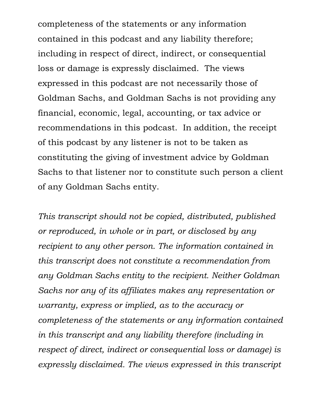completeness of the statements or any information contained in this podcast and any liability therefore; including in respect of direct, indirect, or consequential loss or damage is expressly disclaimed. The views expressed in this podcast are not necessarily those of Goldman Sachs, and Goldman Sachs is not providing any financial, economic, legal, accounting, or tax advice or recommendations in this podcast. In addition, the receipt of this podcast by any listener is not to be taken as constituting the giving of investment advice by Goldman Sachs to that listener nor to constitute such person a client of any Goldman Sachs entity.

*This transcript should not be copied, distributed, published or reproduced, in whole or in part, or disclosed by any recipient to any other person. The information contained in this transcript does not constitute a recommendation from any Goldman Sachs entity to the recipient. Neither Goldman Sachs nor any of its affiliates makes any representation or warranty, express or implied, as to the accuracy or completeness of the statements or any information contained in this transcript and any liability therefore (including in respect of direct, indirect or consequential loss or damage) is expressly disclaimed. The views expressed in this transcript*